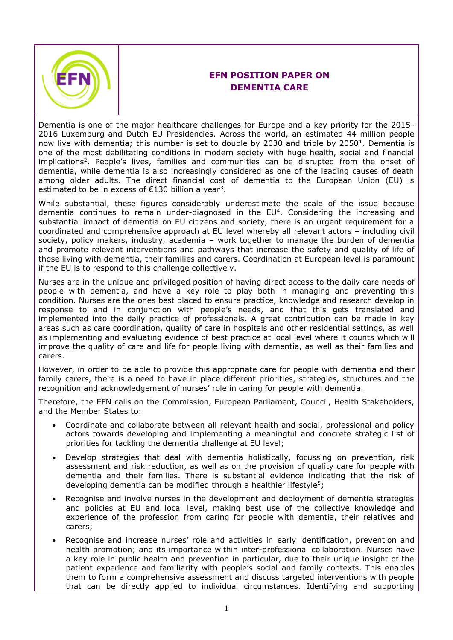

## **EFN POSITION PAPER ON DEMENTIA CARE**

Dementia is one of the major healthcare challenges for Europe and a key priority for the 2015- 2016 Luxemburg and Dutch EU Presidencies. Across the world, an estimated 44 million people now live with dementia; this number is set to double by 2030 and triple by 2050<sup>1</sup>. Dementia is one of the most debilitating conditions in modern society with huge health, social and financial implications<sup>2</sup> . People's lives, families and communities can be disrupted from the onset of dementia, while dementia is also increasingly considered as one of the leading causes of death among older adults. The direct financial cost of dementia to the European Union (EU) is estimated to be in excess of  $E$ 130 billion a year<sup>3</sup>.

While substantial, these figures considerably underestimate the scale of the issue because dementia continues to remain under-diagnosed in the  $EU<sup>4</sup>$ . Considering the increasing and substantial impact of dementia on EU citizens and society, there is an urgent requirement for a coordinated and comprehensive approach at EU level whereby all relevant actors – including civil society, policy makers, industry, academia – work together to manage the burden of dementia and promote relevant interventions and pathways that increase the safety and quality of life of those living with dementia, their families and carers. Coordination at European level is paramount if the EU is to respond to this challenge collectively.

Nurses are in the unique and privileged position of having direct access to the daily care needs of people with dementia, and have a key role to play both in managing and preventing this condition. Nurses are the ones best placed to ensure practice, knowledge and research develop in response to and in conjunction with people's needs, and that this gets translated and implemented into the daily practice of professionals. A great contribution can be made in key areas such as care coordination, quality of care in hospitals and other residential settings, as well as implementing and evaluating evidence of best practice at local level where it counts which will improve the quality of care and life for people living with dementia, as well as their families and carers.

However, in order to be able to provide this appropriate care for people with dementia and their family carers, there is a need to have in place different priorities, strategies, structures and the recognition and acknowledgement of nurses' role in caring for people with dementia.

Therefore, the EFN calls on the Commission, European Parliament, Council, Health Stakeholders, and the Member States to:

- Coordinate and collaborate between all relevant health and social, professional and policy actors towards developing and implementing a meaningful and concrete strategic list of priorities for tackling the dementia challenge at EU level;
- Develop strategies that deal with dementia holistically, focussing on prevention, risk assessment and risk reduction, as well as on the provision of quality care for people with dementia and their families. There is substantial evidence indicating that the risk of developing dementia can be modified through a healthier lifestyle<sup>5</sup>;
- Recognise and involve nurses in the development and deployment of dementia strategies and policies at EU and local level, making best use of the collective knowledge and experience of the profession from caring for people with dementia, their relatives and carers;
- Recognise and increase nurses' role and activities in early identification, prevention and health promotion; and its importance within inter-professional collaboration. Nurses have a key role in public health and prevention in particular, due to their unique insight of the patient experience and familiarity with people's social and family contexts. This enables them to form a comprehensive assessment and discuss targeted interventions with people that can be directly applied to individual circumstances. Identifying and supporting